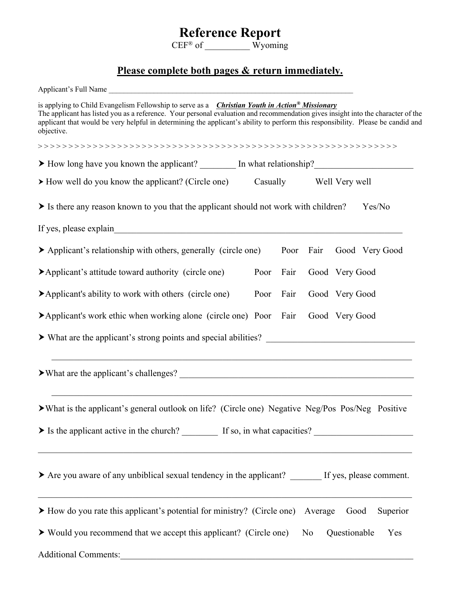## **Reference Report**

 $CEF^{\otimes}$  of Wyoming

## **Please complete both pages & return immediately.**

| is applying to Child Evangelism Fellowship to serve as a <i>Christian Youth in Action® Missionary</i><br>The applicant has listed you as a reference. Your personal evaluation and recommendation gives insight into the character of the<br>applicant that would be very helpful in determining the applicant's ability to perform this responsibility. Please be candid and<br>objective. |  |  |
|---------------------------------------------------------------------------------------------------------------------------------------------------------------------------------------------------------------------------------------------------------------------------------------------------------------------------------------------------------------------------------------------|--|--|
|                                                                                                                                                                                                                                                                                                                                                                                             |  |  |
| > How long have you known the applicant? In what relationship?                                                                                                                                                                                                                                                                                                                              |  |  |
| Casually Well Very well<br>$\triangleright$ How well do you know the applicant? (Circle one)                                                                                                                                                                                                                                                                                                |  |  |
| Is there any reason known to you that the applicant should not work with children?<br>Yes/No                                                                                                                                                                                                                                                                                                |  |  |
|                                                                                                                                                                                                                                                                                                                                                                                             |  |  |
| Applicant's relationship with others, generally (circle one) Poor Fair Good Very Good                                                                                                                                                                                                                                                                                                       |  |  |
| Applicant's attitude toward authority (circle one)<br>Fair<br>Poor<br>Good Very Good                                                                                                                                                                                                                                                                                                        |  |  |
| $\blacktriangleright$ Applicant's ability to work with others (circle one)<br>Poor<br>Fair<br>Good Very Good                                                                                                                                                                                                                                                                                |  |  |
| Applicant's work ethic when working alone (circle one) Poor Fair<br>Good Very Good                                                                                                                                                                                                                                                                                                          |  |  |
|                                                                                                                                                                                                                                                                                                                                                                                             |  |  |
|                                                                                                                                                                                                                                                                                                                                                                                             |  |  |
| > What is the applicant's general outlook on life? (Circle one) Negative Neg/Pos Pos/Neg Positive                                                                                                                                                                                                                                                                                           |  |  |
| > Is the applicant active in the church? If so, in what capacities?                                                                                                                                                                                                                                                                                                                         |  |  |
| > Are you aware of any unbiblical sexual tendency in the applicant? ______ If yes, please comment.                                                                                                                                                                                                                                                                                          |  |  |
| > How do you rate this applicant's potential for ministry? (Circle one) Average<br>Good<br>Superior                                                                                                                                                                                                                                                                                         |  |  |
| ▶ Would you recommend that we accept this applicant? (Circle one)<br>Questionable<br>N <sub>o</sub><br>Yes                                                                                                                                                                                                                                                                                  |  |  |
| Additional Comments:                                                                                                                                                                                                                                                                                                                                                                        |  |  |